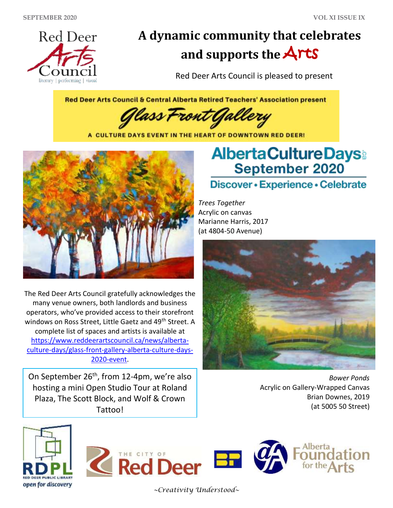

## **A dynamic community that celebrates and supports the** Arts

Red Deer Arts Council is pleased to present

Red Deer Arts Council & Central Alberta Retired Teachers' Association present

'ass t ront

A CULTURE DAYS EVENT IN THE HEART OF DOWNTOWN RED DEER!



The Red Deer Arts Council gratefully acknowledges the many venue owners, both landlords and business operators, who've provided access to their storefront windows on Ross Street, Little Gaetz and 49<sup>th</sup> Street. A complete list of spaces and artists is available at [https://www.reddeerartscouncil.ca/news/alberta](https://www.reddeerartscouncil.ca/news/alberta-culture-days/glass-front-gallery-alberta-culture-days-2020-event)[culture-days/glass-front-gallery-alberta-culture-days-](https://www.reddeerartscouncil.ca/news/alberta-culture-days/glass-front-gallery-alberta-culture-days-2020-event)[2020-event.](https://www.reddeerartscouncil.ca/news/alberta-culture-days/glass-front-gallery-alberta-culture-days-2020-event)

On September 26<sup>th</sup>, from 12-4pm, we're also hosting a mini Open Studio Tour at Roland Plaza, The Scott Block, and Wolf & Crown Tattoo!

## **AlbertaCultureDays September 2020**

## Discover • Experience • Celebrate

*Trees Together* Acrylic on canvas Marianne Harris, 2017 (at 4804-50 Avenue)



*Bower Ponds* Acrylic on Gallery-Wrapped Canvas Brian Downes, 2019 (at 5005 50 Street)







*~Creativity Understood~*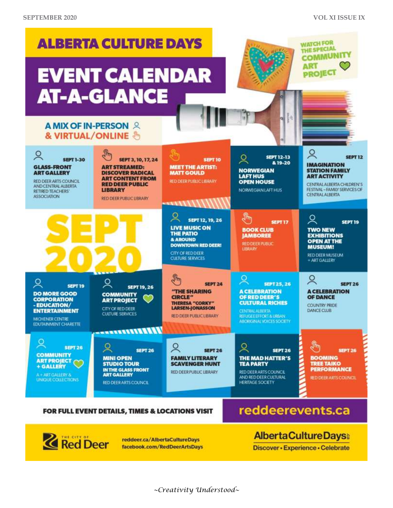

facebook.com/RedDeerArtsDays

Discover - Experience - Celebrate